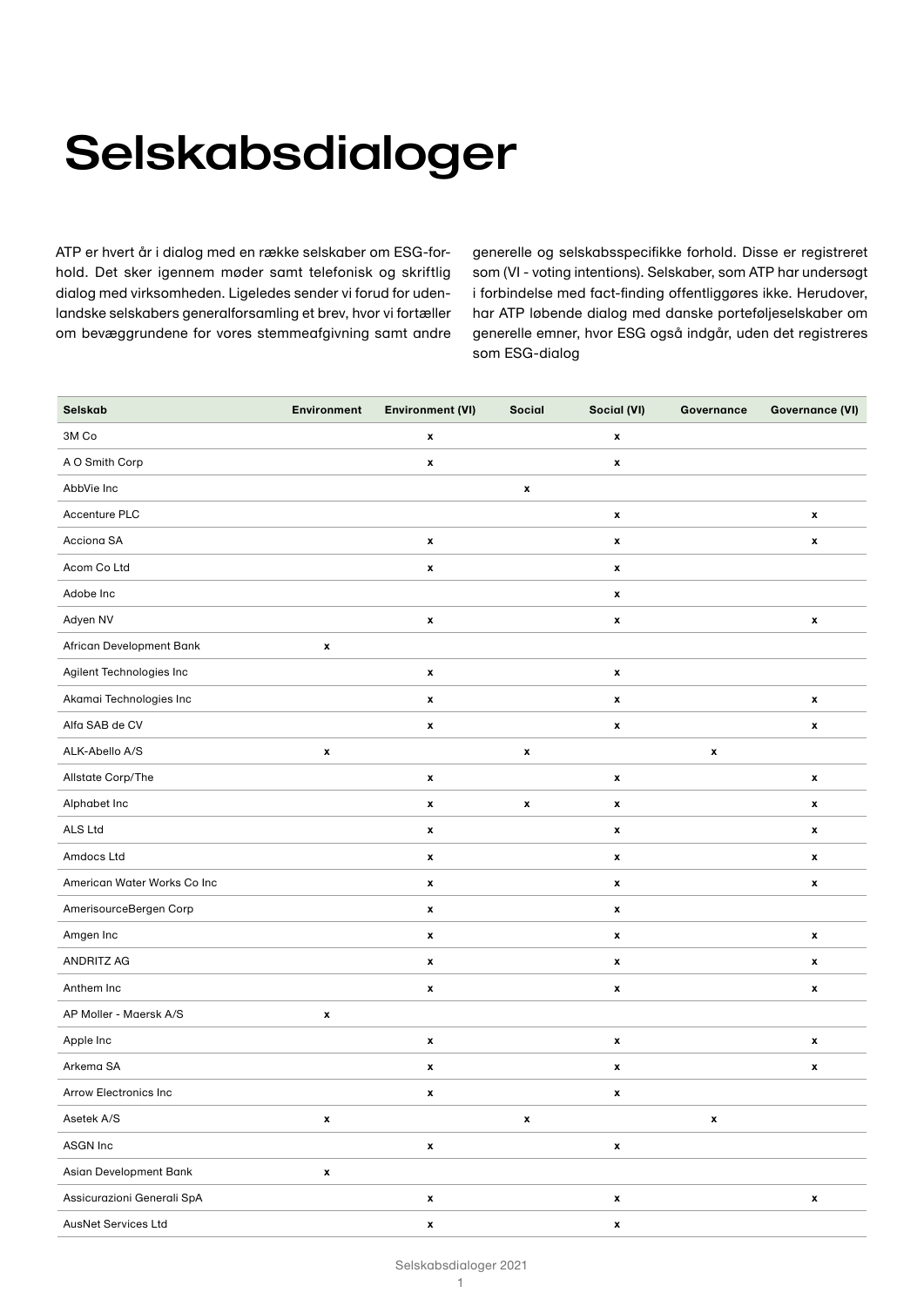## Selskabsdialoger

ATP er hvert år i dialog med en række selskaber om ESG-forhold. Det sker igennem møder samt telefonisk og skriftlig dialog med virksomheden. Ligeledes sender vi forud for udenlandske selskabers generalforsamling et brev, hvor vi fortæller om bevæggrundene for vores stemmeafgivning samt andre generelle og selskabsspecifikke forhold. Disse er registreret som (VI - voting intentions). Selskaber, som ATP har undersøgt i forbindelse med fact-finding offentliggøres ikke. Herudover, har ATP løbende dialog med danske porteføljeselskaber om generelle emner, hvor ESG også indgår, uden det registreres som ESG-dialog

| Selskab                     | <b>Environment</b> | <b>Environment (VI)</b> | Social             | Social (VI)        | Governance         | <b>Governance (VI)</b> |
|-----------------------------|--------------------|-------------------------|--------------------|--------------------|--------------------|------------------------|
| 3M Co                       |                    | $\pmb{\mathsf{x}}$      |                    | $\pmb{\mathsf{x}}$ |                    |                        |
| A O Smith Corp              |                    | $\pmb{\mathsf{x}}$      |                    | $\pmb{\mathsf{x}}$ |                    |                        |
| AbbVie Inc                  |                    |                         | $\pmb{\mathsf{x}}$ |                    |                    |                        |
| Accenture PLC               |                    |                         |                    | $\pmb{\mathsf{x}}$ |                    | x                      |
| Acciona SA                  |                    | $\pmb{\mathsf{x}}$      |                    | $\pmb{\mathsf{x}}$ |                    | x                      |
| Acom Co Ltd                 |                    | $\pmb{\mathsf{x}}$      |                    | $\pmb{\mathsf{x}}$ |                    |                        |
| Adobe Inc                   |                    |                         |                    | $\pmb{\mathsf{x}}$ |                    |                        |
| Adyen NV                    |                    | $\pmb{\mathsf{x}}$      |                    | $\pmb{\mathsf{x}}$ |                    | $\pmb{\mathsf{x}}$     |
| African Development Bank    | x                  |                         |                    |                    |                    |                        |
| Agilent Technologies Inc    |                    | x                       |                    | $\pmb{\mathsf{x}}$ |                    |                        |
| Akamai Technologies Inc     |                    | $\pmb{\mathsf{x}}$      |                    | $\pmb{\mathsf{x}}$ |                    | $\pmb{\mathsf{x}}$     |
| Alfa SAB de CV              |                    | $\pmb{\mathsf{x}}$      |                    | $\pmb{\mathsf{x}}$ |                    | x                      |
| ALK-Abello A/S              | x                  |                         | x                  |                    | x                  |                        |
| Allstate Corp/The           |                    | $\pmb{\mathsf{x}}$      |                    | $\pmb{\mathsf{x}}$ |                    | $\pmb{\mathsf{x}}$     |
| Alphabet Inc                |                    | $\pmb{\mathsf{x}}$      | $\pmb{\mathsf{x}}$ | $\pmb{\mathsf{x}}$ |                    | x                      |
| ALS Ltd                     |                    | x                       |                    | $\pmb{\mathsf{x}}$ |                    | x                      |
| Amdocs Ltd                  |                    | $\pmb{\mathsf{x}}$      |                    | $\pmb{\mathsf{x}}$ |                    | x                      |
| American Water Works Co Inc |                    | $\pmb{\mathsf{x}}$      |                    | $\pmb{\mathsf{x}}$ |                    | x                      |
| AmerisourceBergen Corp      |                    | $\pmb{\mathsf{x}}$      |                    | $\pmb{\mathsf{x}}$ |                    |                        |
| Amgen Inc                   |                    | $\pmb{\mathsf{x}}$      |                    | $\pmb{\mathsf{x}}$ |                    | x                      |
| ANDRITZ AG                  |                    | $\pmb{\mathsf{x}}$      |                    | $\pmb{\mathsf{x}}$ |                    | x                      |
| Anthem Inc                  |                    | $\pmb{\mathsf{x}}$      |                    | $\pmb{\mathsf{x}}$ |                    | x                      |
| AP Moller - Maersk A/S      | x                  |                         |                    |                    |                    |                        |
| Apple Inc                   |                    | $\pmb{\mathsf{x}}$      |                    | $\pmb{\mathsf{x}}$ |                    | x                      |
| Arkema SA                   |                    | $\pmb{\mathsf{x}}$      |                    | $\pmb{\mathsf{x}}$ |                    | $\pmb{\mathsf{x}}$     |
| Arrow Electronics Inc       |                    | x                       |                    | x                  |                    |                        |
| Asetek A/S                  | x                  |                         | $\pmb{\mathsf{x}}$ |                    | $\pmb{\mathsf{x}}$ |                        |
| ASGN Inc                    |                    | $\pmb{\mathsf{x}}$      |                    | $\pmb{\mathsf{x}}$ |                    |                        |
| Asian Development Bank      | $\pmb{\mathsf{x}}$ |                         |                    |                    |                    |                        |
| Assicurazioni Generali SpA  |                    | $\pmb{\mathsf{x}}$      |                    | $\pmb{\mathsf{x}}$ |                    | $\pmb{\mathsf{x}}$     |
| AusNet Services Ltd         |                    | $\pmb{\mathsf{x}}$      |                    | $\pmb{\mathsf{x}}$ |                    |                        |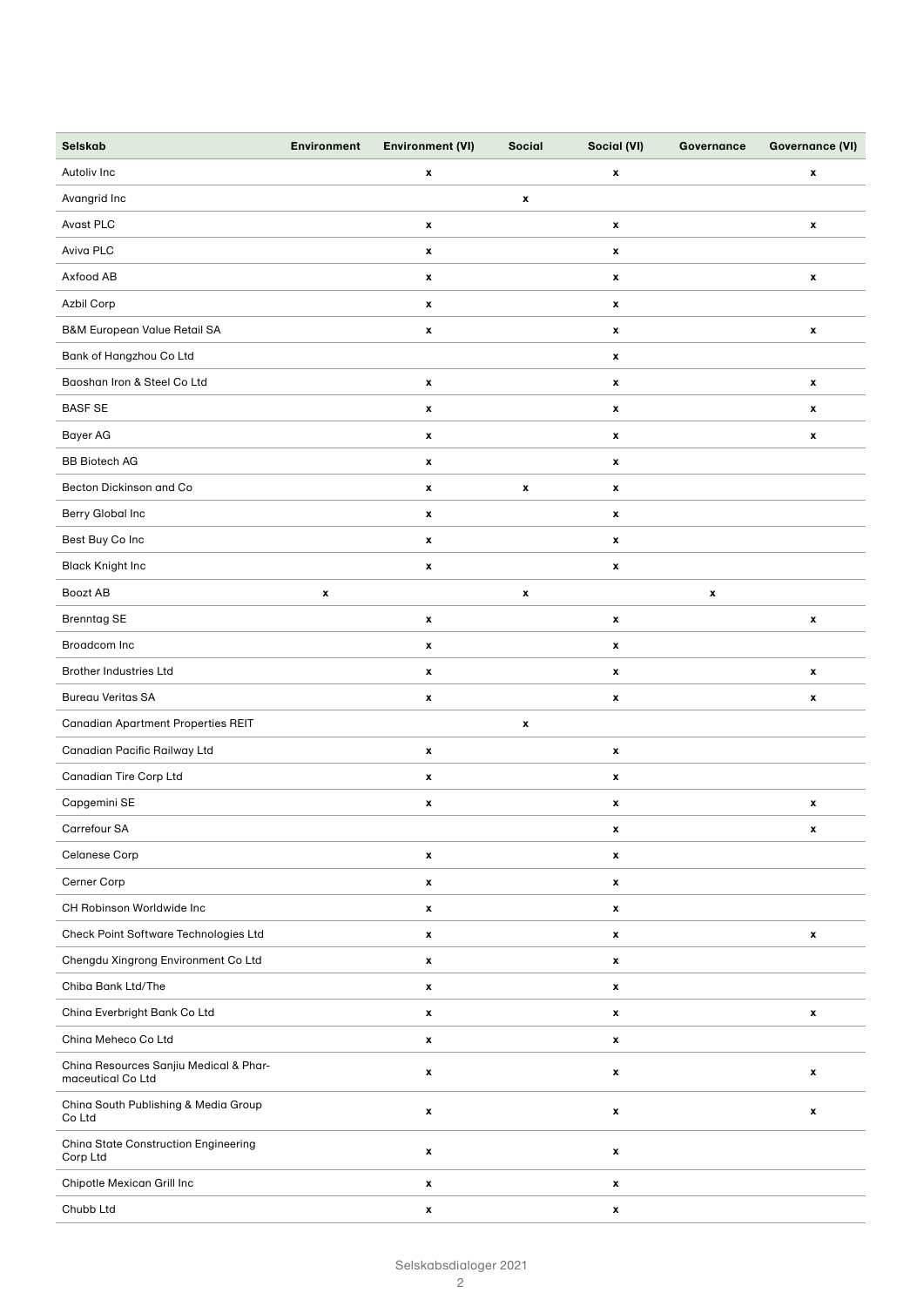| Selskab                                                     | <b>Environment</b> | <b>Environment (VI)</b> | <b>Social</b>      | Social (VI)        | Governance | <b>Governance (VI)</b>    |
|-------------------------------------------------------------|--------------------|-------------------------|--------------------|--------------------|------------|---------------------------|
| Autoliv Inc                                                 |                    | x                       |                    | $\pmb{\mathsf{x}}$ |            | $\pmb{\mathsf{x}}$        |
| Avangrid Inc                                                |                    |                         | $\pmb{\mathsf{x}}$ |                    |            |                           |
| Avast PLC                                                   |                    | x                       |                    | $\pmb{\mathsf{x}}$ |            | $\pmb{\mathsf{x}}$        |
| Aviva PLC                                                   |                    | x                       |                    | $\pmb{\mathsf{x}}$ |            |                           |
| Axfood AB                                                   |                    | x                       |                    | $\pmb{\mathsf{x}}$ |            | $\pmb{\mathsf{x}}$        |
| Azbil Corp                                                  |                    | x                       |                    | $\pmb{\mathsf{x}}$ |            |                           |
| B&M European Value Retail SA                                |                    | x                       |                    | $\pmb{\mathsf{x}}$ |            | $\pmb{\mathsf{x}}$        |
| Bank of Hangzhou Co Ltd                                     |                    |                         |                    | $\pmb{\mathsf{x}}$ |            |                           |
| Baoshan Iron & Steel Co Ltd                                 |                    | x                       |                    | $\pmb{\mathsf{x}}$ |            | $\pmb{\mathsf{x}}$        |
| <b>BASF SE</b>                                              |                    | x                       |                    | $\pmb{\mathsf{x}}$ |            | $\boldsymbol{\mathsf{x}}$ |
| Bayer AG                                                    |                    | $\pmb{\mathsf{x}}$      |                    | $\pmb{\mathsf{x}}$ |            | $\pmb{\mathsf{x}}$        |
| <b>BB Biotech AG</b>                                        |                    | x                       |                    | $\pmb{\mathsf{x}}$ |            |                           |
| Becton Dickinson and Co                                     |                    | x                       | $\pmb{\mathsf{x}}$ | $\pmb{\mathsf{x}}$ |            |                           |
| Berry Global Inc                                            |                    | x                       |                    | $\pmb{\mathsf{x}}$ |            |                           |
| Best Buy Co Inc                                             |                    | x                       |                    | $\pmb{\mathsf{x}}$ |            |                           |
| <b>Black Knight Inc</b>                                     |                    | x                       |                    | $\pmb{\mathsf{x}}$ |            |                           |
| Boozt AB                                                    | x                  |                         | $\pmb{\mathsf{x}}$ |                    | x          |                           |
| <b>Brenntag SE</b>                                          |                    | x                       |                    | $\pmb{\mathsf{x}}$ |            | $\pmb{\mathsf{x}}$        |
| Broadcom Inc                                                |                    | x                       |                    | $\pmb{\mathsf{x}}$ |            |                           |
| <b>Brother Industries Ltd</b>                               |                    | x                       |                    | $\pmb{\mathsf{x}}$ |            | $\pmb{\mathsf{x}}$        |
| <b>Bureau Veritas SA</b>                                    |                    | x                       |                    | $\pmb{\mathsf{x}}$ |            | $\pmb{\mathsf{x}}$        |
| <b>Canadian Apartment Properties REIT</b>                   |                    |                         | $\pmb{\mathsf{x}}$ |                    |            |                           |
| Canadian Pacific Railway Ltd                                |                    | x                       |                    | $\pmb{\mathsf{x}}$ |            |                           |
| <b>Canadian Tire Corp Ltd</b>                               |                    | x                       |                    | x                  |            |                           |
| Capgemini SE                                                |                    | x                       |                    | $\pmb{\mathsf{x}}$ |            | $\pmb{\mathsf{x}}$        |
| Carrefour SA                                                |                    |                         |                    | x                  |            | x                         |
| <b>Celanese Corp</b>                                        |                    | x                       |                    | $\pmb{\mathsf{x}}$ |            |                           |
| Cerner Corp                                                 |                    | $\pmb{\mathsf{x}}$      |                    | $\pmb{\mathsf{x}}$ |            |                           |
| CH Robinson Worldwide Inc                                   |                    | $\pmb{\mathsf{x}}$      |                    | $\pmb{\mathsf{x}}$ |            |                           |
| Check Point Software Technologies Ltd                       |                    | x                       |                    | $\pmb{\mathsf{x}}$ |            | $\pmb{\mathsf{x}}$        |
| Chengdu Xingrong Environment Co Ltd                         |                    | x                       |                    | $\pmb{\mathsf{x}}$ |            |                           |
| Chiba Bank Ltd/The                                          |                    | x                       |                    | $\pmb{\mathsf{x}}$ |            |                           |
| China Everbright Bank Co Ltd                                |                    | x                       |                    | $\pmb{\mathsf{x}}$ |            | $\pmb{\mathsf{x}}$        |
| China Meheco Co Ltd                                         |                    | $\pmb{\mathsf{x}}$      |                    | $\pmb{\mathsf{x}}$ |            |                           |
| China Resources Sanjiu Medical & Phar-<br>maceutical Co Ltd |                    | x                       |                    | $\pmb{\mathsf{x}}$ |            | x                         |
| China South Publishing & Media Group<br>Co Ltd              |                    | x                       |                    | $\pmb{\mathsf{x}}$ |            | x                         |
| <b>China State Construction Engineering</b><br>Corp Ltd     |                    | x                       |                    | $\pmb{\mathsf{x}}$ |            |                           |
| Chipotle Mexican Grill Inc                                  |                    | x                       |                    | $\pmb{\mathsf{x}}$ |            |                           |
| Chubb Ltd                                                   |                    | x                       |                    | x                  |            |                           |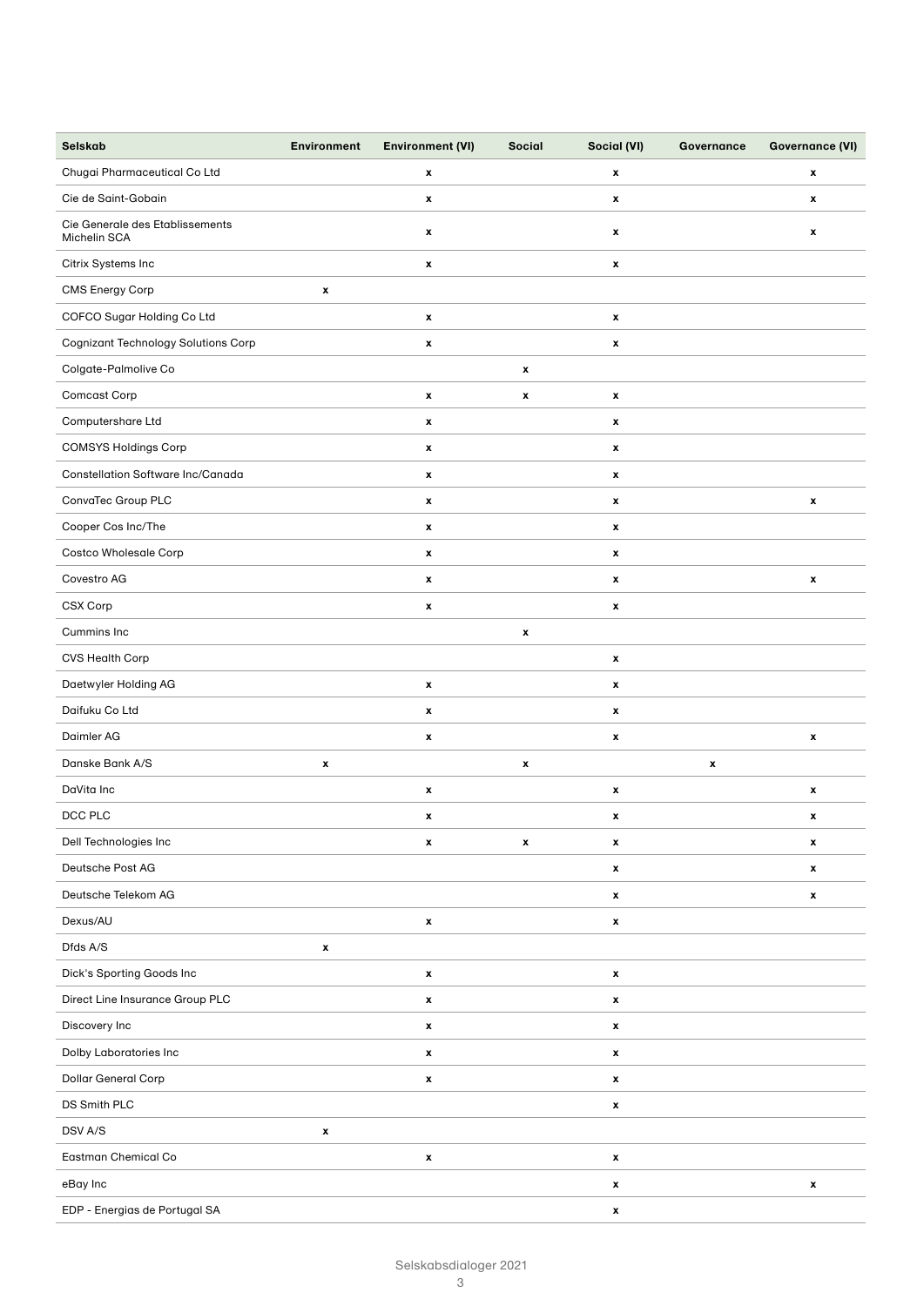| Selskab                                         | <b>Environment</b> | <b>Environment (VI)</b> | Social             | Social (VI)        | Governance | <b>Governance (VI)</b> |
|-------------------------------------------------|--------------------|-------------------------|--------------------|--------------------|------------|------------------------|
| Chugai Pharmaceutical Co Ltd                    |                    | x                       |                    | $\pmb{\mathsf{x}}$ |            | x                      |
| Cie de Saint-Gobain                             |                    | x                       |                    | $\pmb{\mathsf{x}}$ |            | x                      |
| Cie Generale des Etablissements<br>Michelin SCA |                    | x                       |                    | $\pmb{\mathsf{x}}$ |            | x                      |
| Citrix Systems Inc                              |                    | x                       |                    | $\pmb{\mathsf{x}}$ |            |                        |
| CMS Energy Corp                                 | x                  |                         |                    |                    |            |                        |
| COFCO Sugar Holding Co Ltd                      |                    | $\pmb{\mathsf{x}}$      |                    | $\pmb{\mathsf{x}}$ |            |                        |
| Cognizant Technology Solutions Corp             |                    | x                       |                    | $\pmb{\mathsf{x}}$ |            |                        |
| Colgate-Palmolive Co                            |                    |                         | $\pmb{\mathsf{x}}$ |                    |            |                        |
| Comcast Corp                                    |                    | x                       | $\pmb{\mathsf{x}}$ | $\pmb{\mathsf{x}}$ |            |                        |
| Computershare Ltd                               |                    | x                       |                    | $\pmb{\mathsf{x}}$ |            |                        |
| <b>COMSYS Holdings Corp</b>                     |                    | x                       |                    | $\pmb{\mathsf{x}}$ |            |                        |
| Constellation Software Inc/Canada               |                    | $\pmb{\mathsf{x}}$      |                    | $\pmb{\mathsf{x}}$ |            |                        |
| ConvaTec Group PLC                              |                    | x                       |                    | $\pmb{\mathsf{x}}$ |            | x                      |
| Cooper Cos Inc/The                              |                    | $\pmb{\mathsf{x}}$      |                    | $\pmb{\mathsf{x}}$ |            |                        |
| <b>Costco Wholesale Corp</b>                    |                    | $\pmb{\mathsf{x}}$      |                    | $\pmb{\mathsf{x}}$ |            |                        |
| Covestro AG                                     |                    | x                       |                    | $\pmb{\mathsf{x}}$ |            | x                      |
| CSX Corp                                        |                    | x                       |                    | $\pmb{\mathsf{x}}$ |            |                        |
| Cummins Inc                                     |                    |                         | $\pmb{\mathsf{x}}$ |                    |            |                        |
| CVS Health Corp                                 |                    |                         |                    | $\pmb{\mathsf{x}}$ |            |                        |
| Daetwyler Holding AG                            |                    | x                       |                    | $\pmb{\mathsf{x}}$ |            |                        |
| Daifuku Co Ltd                                  |                    | x                       |                    | $\pmb{\mathsf{x}}$ |            |                        |
| Daimler AG                                      |                    | x                       |                    | $\pmb{\mathsf{x}}$ |            | x                      |
| Danske Bank A/S                                 | x                  |                         | $\pmb{\mathsf{x}}$ |                    | x          |                        |
| DaVita Inc                                      |                    | x                       |                    | $\pmb{\mathsf{x}}$ |            | x                      |
| DCC PLC                                         |                    | x                       |                    | x                  |            | x                      |
| Dell Technologies Inc                           |                    | x                       | $\pmb{\mathsf{x}}$ | $\pmb{\mathsf{x}}$ |            | $\pmb{\mathsf{x}}$     |
| Deutsche Post AG                                |                    |                         |                    | x                  |            | x                      |
| Deutsche Telekom AG                             |                    |                         |                    | $\pmb{\mathsf{x}}$ |            | x                      |
| Dexus/AU                                        |                    | $\pmb{\mathsf{x}}$      |                    | $\pmb{\mathsf{x}}$ |            |                        |
| Dfds A/S                                        | $\pmb{\mathsf{x}}$ |                         |                    |                    |            |                        |
| Dick's Sporting Goods Inc                       |                    | $\pmb{\mathsf{x}}$      |                    | $\pmb{\mathsf{x}}$ |            |                        |
| Direct Line Insurance Group PLC                 |                    | $\pmb{\mathsf{x}}$      |                    | x                  |            |                        |
| Discovery Inc                                   |                    | x                       |                    | $\pmb{\mathsf{x}}$ |            |                        |
| Dolby Laboratories Inc                          |                    | $\pmb{\mathsf{x}}$      |                    | $\pmb{\mathsf{x}}$ |            |                        |
| Dollar General Corp                             |                    | $\pmb{\mathsf{x}}$      |                    | $\pmb{\mathsf{x}}$ |            |                        |
| DS Smith PLC                                    |                    |                         |                    | $\pmb{\mathsf{x}}$ |            |                        |
| DSV A/S                                         | x                  |                         |                    |                    |            |                        |
| Eastman Chemical Co                             |                    | x                       |                    | $\pmb{\mathsf{x}}$ |            |                        |
| eBay Inc                                        |                    |                         |                    | x                  |            | $\pmb{\mathsf{x}}$     |
| EDP - Energias de Portugal SA                   |                    |                         |                    | $\pmb{\mathsf{x}}$ |            |                        |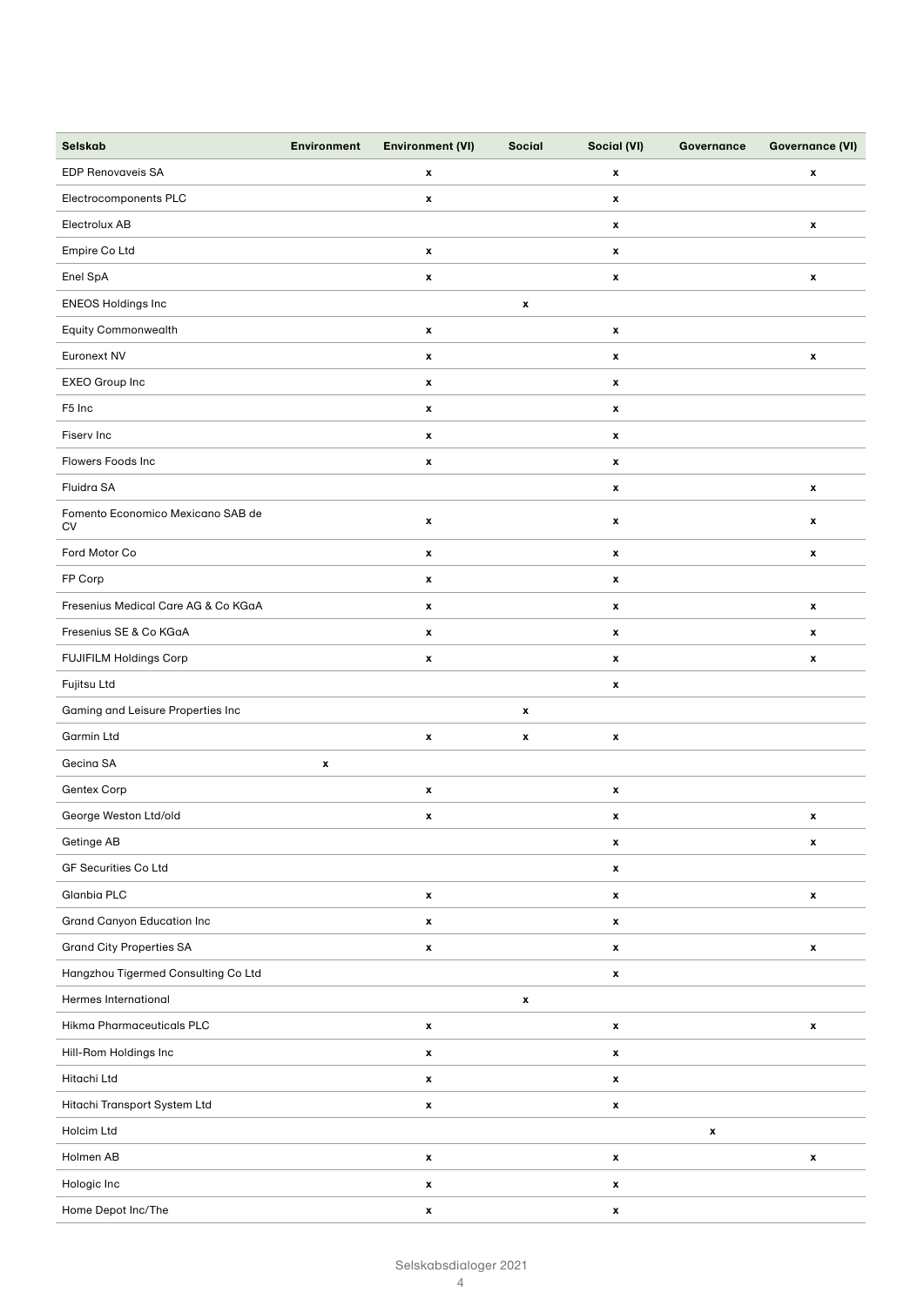| Selskab                                        | <b>Environment</b> | <b>Environment (VI)</b> | Social             | Social (VI)        | Governance         | <b>Governance (VI)</b> |
|------------------------------------------------|--------------------|-------------------------|--------------------|--------------------|--------------------|------------------------|
| <b>EDP Renovaveis SA</b>                       |                    | x                       |                    | $\pmb{\mathsf{x}}$ |                    | x                      |
| Electrocomponents PLC                          |                    | $\pmb{\mathsf{x}}$      |                    | $\pmb{\mathsf{x}}$ |                    |                        |
| Electrolux AB                                  |                    |                         |                    | $\pmb{\mathsf{x}}$ |                    | $\pmb{\mathsf{x}}$     |
| Empire Co Ltd                                  |                    | $\pmb{\mathsf{x}}$      |                    | $\pmb{\mathsf{x}}$ |                    |                        |
| Enel SpA                                       |                    | $\pmb{\mathsf{x}}$      |                    | $\pmb{\mathsf{x}}$ |                    | x                      |
| ENEOS Holdings Inc                             |                    |                         | $\pmb{\mathsf{x}}$ |                    |                    |                        |
| Equity Commonwealth                            |                    | x                       |                    | $\pmb{\mathsf{x}}$ |                    |                        |
| Euronext NV                                    |                    | $\pmb{\mathsf{x}}$      |                    | $\pmb{\mathsf{x}}$ |                    | $\pmb{\mathsf{x}}$     |
| EXEO Group Inc                                 |                    | $\pmb{\mathsf{x}}$      |                    | $\pmb{\mathsf{x}}$ |                    |                        |
| F <sub>5</sub> Inc                             |                    | $\pmb{\mathsf{x}}$      |                    | $\pmb{\mathsf{x}}$ |                    |                        |
| Fiserv Inc                                     |                    | x                       |                    | $\pmb{\mathsf{x}}$ |                    |                        |
| Flowers Foods Inc                              |                    | x                       |                    | $\pmb{\mathsf{x}}$ |                    |                        |
| Fluidra SA                                     |                    |                         |                    | $\pmb{\mathsf{x}}$ |                    | x                      |
| Fomento Economico Mexicano SAB de<br><b>CV</b> |                    | $\pmb{\mathsf{x}}$      |                    | $\pmb{\mathsf{x}}$ |                    | $\pmb{\mathsf{x}}$     |
| Ford Motor Co                                  |                    | $\pmb{\mathsf{x}}$      |                    | x                  |                    | x                      |
| FP Corp                                        |                    | x                       |                    | $\pmb{\mathsf{x}}$ |                    |                        |
| Fresenius Medical Care AG & Co KGaA            |                    | $\pmb{\mathsf{x}}$      |                    | $\pmb{\mathsf{x}}$ |                    | x                      |
| Fresenius SE & Co KGaA                         |                    | $\pmb{\mathsf{x}}$      |                    | $\pmb{\mathsf{x}}$ |                    | $\pmb{\mathsf{x}}$     |
| FUJIFILM Holdings Corp                         |                    | x                       |                    | $\pmb{\mathsf{x}}$ |                    | x                      |
| Fujitsu Ltd                                    |                    |                         |                    | x                  |                    |                        |
| Gaming and Leisure Properties Inc              |                    |                         | $\pmb{\mathsf{x}}$ |                    |                    |                        |
| <b>Garmin Ltd</b>                              |                    | x                       | x                  | $\pmb{\mathsf{x}}$ |                    |                        |
| Gecina SA                                      | x                  |                         |                    |                    |                    |                        |
| Gentex Corp                                    |                    | $\pmb{\mathsf{x}}$      |                    | $\pmb{\mathsf{x}}$ |                    |                        |
| George Weston Ltd/old                          |                    | x                       |                    | x                  |                    | x                      |
| Getinge AB                                     |                    |                         |                    | x                  |                    | $\pmb{\mathsf{x}}$     |
| GF Securities Co Ltd                           |                    |                         |                    | x                  |                    |                        |
| Glanbia PLC                                    |                    | x                       |                    | $\pmb{\mathsf{x}}$ |                    | $\pmb{\mathsf{x}}$     |
| <b>Grand Canyon Education Inc</b>              |                    | $\pmb{\mathsf{x}}$      |                    | x                  |                    |                        |
| <b>Grand City Properties SA</b>                |                    | $\pmb{\mathsf{x}}$      |                    | $\pmb{\mathsf{x}}$ |                    | $\pmb{\mathsf{x}}$     |
| Hangzhou Tigermed Consulting Co Ltd            |                    |                         |                    | x                  |                    |                        |
| <b>Hermes International</b>                    |                    |                         | x                  |                    |                    |                        |
| Hikma Pharmaceuticals PLC                      |                    | $\pmb{\mathsf{x}}$      |                    | x                  |                    | $\pmb{\mathsf{x}}$     |
| Hill-Rom Holdings Inc                          |                    | x                       |                    | $\pmb{\mathsf{x}}$ |                    |                        |
| Hitachi Ltd                                    |                    | $\pmb{\mathsf{x}}$      |                    | $\pmb{\mathsf{x}}$ |                    |                        |
| Hitachi Transport System Ltd                   |                    | x                       |                    | x                  |                    |                        |
| Holcim Ltd                                     |                    |                         |                    |                    | $\pmb{\mathsf{x}}$ |                        |
| Holmen AB                                      |                    | $\pmb{\mathsf{x}}$      |                    | x                  |                    | x                      |
| Hologic Inc                                    |                    | x                       |                    | x                  |                    |                        |
| Home Depot Inc/The                             |                    | x                       |                    | x                  |                    |                        |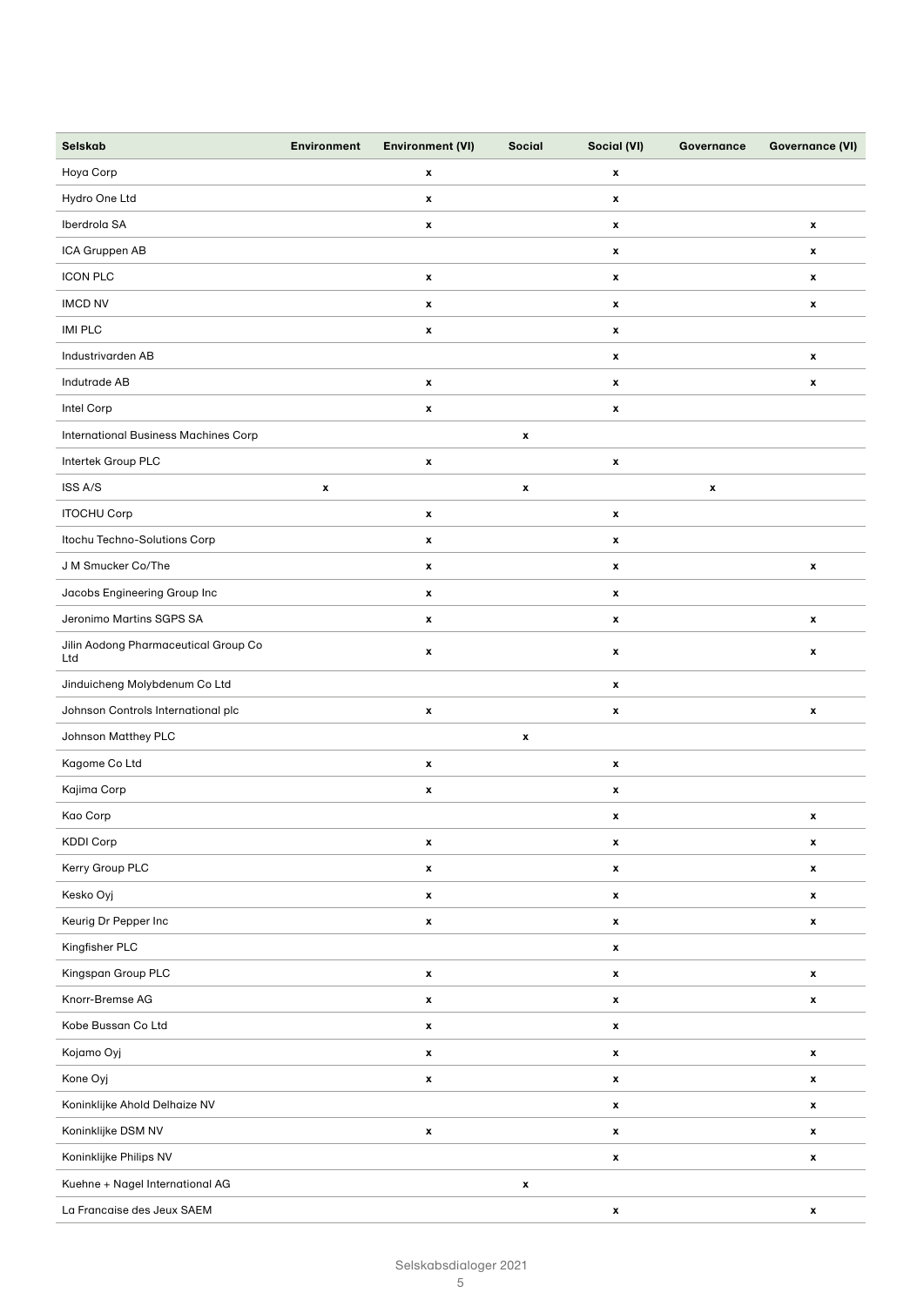| Selskab                                     | <b>Environment</b> | <b>Environment (VI)</b> | <b>Social</b>      | Social (VI)        | Governance         | <b>Governance (VI)</b> |
|---------------------------------------------|--------------------|-------------------------|--------------------|--------------------|--------------------|------------------------|
| Hoya Corp                                   |                    | x                       |                    | x                  |                    |                        |
| Hydro One Ltd                               |                    | x                       |                    | x                  |                    |                        |
| Iberdrola SA                                |                    | x                       |                    | x                  |                    | $\pmb{\mathsf{x}}$     |
| ICA Gruppen AB                              |                    |                         |                    | x                  |                    | x                      |
| <b>ICON PLC</b>                             |                    | $\pmb{\mathsf{x}}$      |                    | $\pmb{\mathsf{x}}$ |                    | $\pmb{\mathsf{x}}$     |
| <b>IMCD NV</b>                              |                    | x                       |                    | x                  |                    | x                      |
| <b>IMI PLC</b>                              |                    | x                       |                    | x                  |                    |                        |
| Industrivarden AB                           |                    |                         |                    | $\pmb{\mathsf{x}}$ |                    | $\pmb{\mathsf{x}}$     |
| Indutrade AB                                |                    | x                       |                    | x                  |                    | $\pmb{\mathsf{x}}$     |
| Intel Corp                                  |                    | $\pmb{\mathsf{x}}$      |                    | $\pmb{\mathsf{x}}$ |                    |                        |
| <b>International Business Machines Corp</b> |                    |                         | $\pmb{\mathsf{x}}$ |                    |                    |                        |
| Intertek Group PLC                          |                    | x                       |                    | x                  |                    |                        |
| ISS A/S                                     | x                  |                         | x                  |                    | $\pmb{\mathsf{x}}$ |                        |
| <b>ITOCHU Corp</b>                          |                    | x                       |                    | x                  |                    |                        |
| Itochu Techno-Solutions Corp                |                    | x                       |                    | x                  |                    |                        |
| J M Smucker Co/The                          |                    | $\pmb{\mathsf{x}}$      |                    | $\pmb{\mathsf{x}}$ |                    | x                      |
| Jacobs Engineering Group Inc                |                    | x                       |                    | x                  |                    |                        |
| Jeronimo Martins SGPS SA                    |                    | x                       |                    | x                  |                    | $\pmb{\mathsf{x}}$     |
| Jilin Aodong Pharmaceutical Group Co<br>Ltd |                    | x                       |                    | x                  |                    | $\pmb{\mathsf{x}}$     |
| Jinduicheng Molybdenum Co Ltd               |                    |                         |                    | x                  |                    |                        |
| Johnson Controls International plc          |                    | $\pmb{\mathsf{x}}$      |                    | $\pmb{\mathsf{x}}$ |                    | x                      |
| Johnson Matthey PLC                         |                    |                         | x                  |                    |                    |                        |
| Kagome Co Ltd                               |                    | x                       |                    | $\pmb{\mathsf{x}}$ |                    |                        |
| Kajima Corp                                 |                    | x                       |                    | x                  |                    |                        |
| Kao Corp                                    |                    |                         |                    | x                  |                    | x                      |
| <b>KDDI Corp</b>                            |                    | x                       |                    | x                  |                    | x                      |
| Kerry Group PLC                             |                    | x                       |                    | $\pmb{\mathsf{x}}$ |                    | $\pmb{\mathsf{x}}$     |
| Kesko Oyj                                   |                    | $\pmb{\mathsf{x}}$      |                    | $\pmb{\mathsf{x}}$ |                    | x                      |
| Keurig Dr Pepper Inc                        |                    | $\pmb{\mathsf{x}}$      |                    | x                  |                    | x                      |
| Kingfisher PLC                              |                    |                         |                    | X                  |                    |                        |
| Kingspan Group PLC                          |                    | $\pmb{\mathsf{x}}$      |                    | $\pmb{\mathsf{x}}$ |                    | $\pmb{\mathsf{x}}$     |
| Knorr-Bremse AG                             |                    | $\pmb{\mathsf{x}}$      |                    | $\pmb{\mathsf{x}}$ |                    | x                      |
| Kobe Bussan Co Ltd                          |                    | x                       |                    | x                  |                    |                        |
| Kojamo Oyj                                  |                    | $\pmb{\mathsf{x}}$      |                    | $\pmb{\mathsf{x}}$ |                    | $\pmb{\mathsf{x}}$     |
| Kone Oyj                                    |                    | $\pmb{\mathsf{x}}$      |                    | X                  |                    | $\pmb{\mathsf{x}}$     |
| Koninklijke Ahold Delhaize NV               |                    |                         |                    | $\pmb{\mathsf{x}}$ |                    | $\pmb{\mathsf{x}}$     |
| Koninklijke DSM NV                          |                    | $\pmb{\mathsf{x}}$      |                    | $\pmb{\mathsf{x}}$ |                    | $\pmb{\mathsf{x}}$     |
| Koninklijke Philips NV                      |                    |                         |                    | $\pmb{\mathsf{x}}$ |                    | x                      |
| Kuehne + Nagel International AG             |                    |                         | $\pmb{\mathsf{x}}$ |                    |                    |                        |
| La Francaise des Jeux SAEM                  |                    |                         |                    | X                  |                    | $\pmb{\mathsf{x}}$     |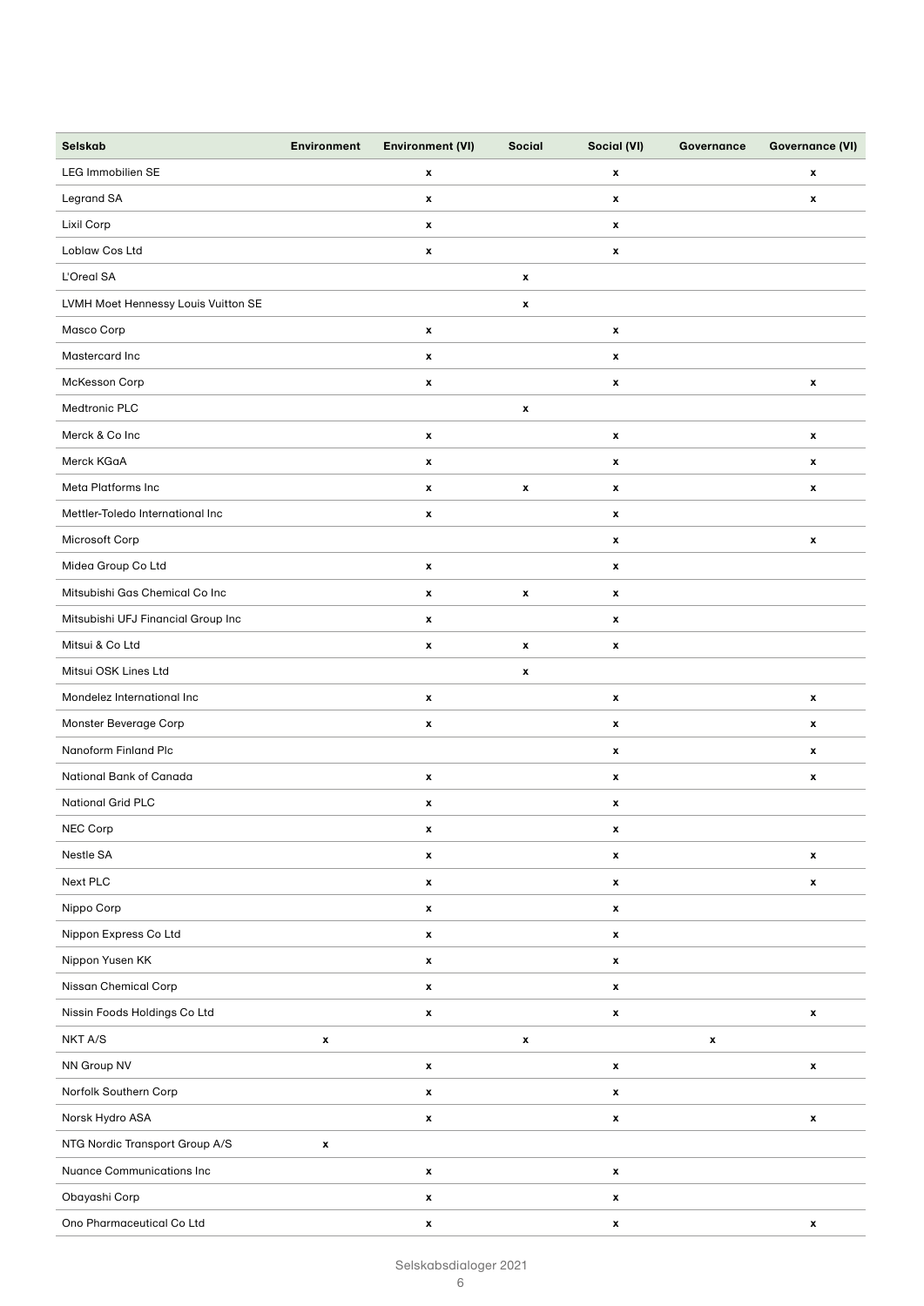| Selskab                             | <b>Environment</b> | <b>Environment (VI)</b> | Social             | Social (VI)        | Governance         | <b>Governance (VI)</b> |
|-------------------------------------|--------------------|-------------------------|--------------------|--------------------|--------------------|------------------------|
| <b>LEG Immobilien SE</b>            |                    | x                       |                    | $\pmb{\mathsf{x}}$ |                    | $\pmb{\mathsf{x}}$     |
| Legrand SA                          |                    | x                       |                    | $\pmb{\mathsf{x}}$ |                    | $\pmb{\mathsf{x}}$     |
| Lixil Corp                          |                    | x                       |                    | $\pmb{\mathsf{x}}$ |                    |                        |
| Loblaw Cos Ltd                      |                    | $\pmb{\mathsf{x}}$      |                    | x                  |                    |                        |
| L'Oreal SA                          |                    |                         | $\pmb{\mathsf{x}}$ |                    |                    |                        |
| LVMH Moet Hennessy Louis Vuitton SE |                    |                         | $\pmb{\mathsf{x}}$ |                    |                    |                        |
| Masco Corp                          |                    | x                       |                    | $\pmb{\mathsf{x}}$ |                    |                        |
| Mastercard Inc                      |                    | x                       |                    | $\pmb{\mathsf{x}}$ |                    |                        |
| McKesson Corp                       |                    | x                       |                    | x                  |                    | $\pmb{\mathsf{x}}$     |
| Medtronic PLC                       |                    |                         | $\pmb{\mathsf{x}}$ |                    |                    |                        |
| Merck & Co Inc                      |                    | x                       |                    | $\pmb{\mathsf{x}}$ |                    | $\pmb{\mathsf{x}}$     |
| Merck KGaA                          |                    | x                       |                    | $\pmb{\mathsf{x}}$ |                    | $\pmb{\mathsf{x}}$     |
| Meta Platforms Inc                  |                    | $\pmb{\mathsf{x}}$      | $\pmb{\mathsf{x}}$ | $\pmb{\mathsf{x}}$ |                    | $\mathbf{x}$           |
| Mettler-Toledo International Inc    |                    | x                       |                    | $\pmb{\mathsf{x}}$ |                    |                        |
| Microsoft Corp                      |                    |                         |                    | x                  |                    | $\pmb{\mathsf{x}}$     |
| Midea Group Co Ltd                  |                    | x                       |                    | $\pmb{\mathsf{x}}$ |                    |                        |
| Mitsubishi Gas Chemical Co Inc      |                    | x                       | $\pmb{\mathsf{x}}$ | $\pmb{\mathsf{x}}$ |                    |                        |
| Mitsubishi UFJ Financial Group Inc  |                    | x                       |                    | $\pmb{\mathsf{x}}$ |                    |                        |
| Mitsui & Co Ltd                     |                    | x                       | $\pmb{\mathsf{x}}$ | $\pmb{\mathsf{x}}$ |                    |                        |
| Mitsui OSK Lines Ltd                |                    |                         | $\pmb{\mathsf{x}}$ |                    |                    |                        |
| Mondelez International Inc          |                    | x                       |                    | x                  |                    | $\pmb{\mathsf{x}}$     |
| Monster Beverage Corp               |                    | x                       |                    | $\pmb{\mathsf{x}}$ |                    | $\pmb{\mathsf{x}}$     |
| Nanoform Finland Plc                |                    |                         |                    | $\pmb{\mathsf{x}}$ |                    | $\pmb{\mathsf{x}}$     |
| National Bank of Canada             |                    | x                       |                    | x                  |                    | $\pmb{\mathsf{x}}$     |
| <b>National Grid PLC</b>            |                    | x                       |                    | x                  |                    |                        |
| NEC Corp                            |                    | x                       |                    | x                  |                    |                        |
| Nestle SA                           |                    | $\pmb{\mathsf{x}}$      |                    | $\pmb{\mathsf{x}}$ |                    | $\pmb{\mathsf{x}}$     |
| Next PLC                            |                    | x                       |                    | $\pmb{\mathsf{x}}$ |                    | x                      |
| Nippo Corp                          |                    | x                       |                    | $\pmb{\mathsf{x}}$ |                    |                        |
| Nippon Express Co Ltd               |                    | $\pmb{\mathsf{x}}$      |                    | $\pmb{\mathsf{x}}$ |                    |                        |
| Nippon Yusen KK                     |                    | $\pmb{\mathsf{x}}$      |                    | $\pmb{\mathsf{x}}$ |                    |                        |
| Nissan Chemical Corp                |                    | $\pmb{\mathsf{x}}$      |                    | $\pmb{\mathsf{x}}$ |                    |                        |
| Nissin Foods Holdings Co Ltd        |                    | $\pmb{\mathsf{x}}$      |                    | x                  |                    | $\pmb{\mathsf{x}}$     |
| NKT A/S                             | $\pmb{\mathsf{x}}$ |                         | $\pmb{\mathsf{x}}$ |                    | $\pmb{\mathsf{x}}$ |                        |
| NN Group NV                         |                    | x                       |                    | x                  |                    | x                      |
| Norfolk Southern Corp               |                    | $\pmb{\mathsf{x}}$      |                    | $\pmb{\mathsf{x}}$ |                    |                        |
| Norsk Hydro ASA                     |                    | x                       |                    | x                  |                    | x                      |
| NTG Nordic Transport Group A/S      | $\pmb{\mathsf{x}}$ |                         |                    |                    |                    |                        |
| <b>Nuance Communications Inc</b>    |                    | x                       |                    | $\pmb{\mathsf{x}}$ |                    |                        |
| Obayashi Corp                       |                    | $\pmb{\mathsf{x}}$      |                    | x                  |                    |                        |
| Ono Pharmaceutical Co Ltd           |                    | $\pmb{\mathsf{x}}$      |                    | $\pmb{\mathsf{x}}$ |                    | x                      |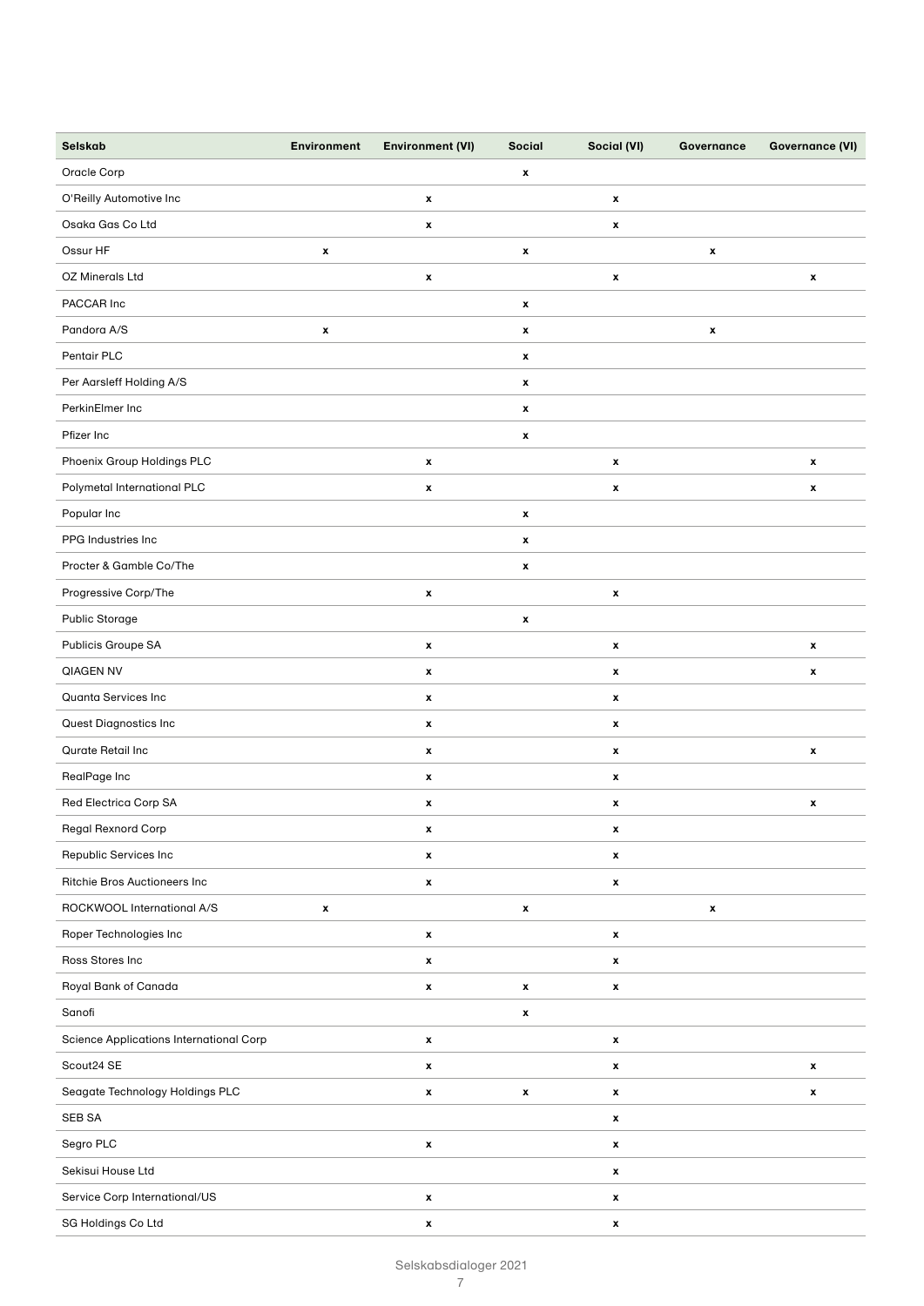| Selskab                                 | <b>Environment</b> | <b>Environment (VI)</b> | Social             | Social (VI)        | Governance         | <b>Governance (VI)</b> |
|-----------------------------------------|--------------------|-------------------------|--------------------|--------------------|--------------------|------------------------|
| Oracle Corp                             |                    |                         | $\pmb{\mathsf{x}}$ |                    |                    |                        |
| O'Reilly Automotive Inc                 |                    | x                       |                    | $\pmb{\mathsf{x}}$ |                    |                        |
| Osaka Gas Co Ltd                        |                    | $\pmb{\mathsf{x}}$      |                    | $\pmb{\mathsf{x}}$ |                    |                        |
| Ossur HF                                | $\pmb{\mathsf{x}}$ |                         | $\pmb{\mathsf{x}}$ |                    | $\pmb{\mathsf{x}}$ |                        |
| OZ Minerals Ltd                         |                    | x                       |                    | $\pmb{\mathsf{x}}$ |                    | $\pmb{\mathsf{x}}$     |
| PACCAR Inc                              |                    |                         | $\pmb{\mathsf{x}}$ |                    |                    |                        |
| Pandora A/S                             | $\pmb{\mathsf{x}}$ |                         | $\pmb{\mathsf{x}}$ |                    | $\pmb{\mathsf{x}}$ |                        |
| Pentair PLC                             |                    |                         | $\pmb{\mathsf{x}}$ |                    |                    |                        |
| Per Aarsleff Holding A/S                |                    |                         | $\pmb{\mathsf{x}}$ |                    |                    |                        |
| PerkinElmer Inc                         |                    |                         | $\pmb{\mathsf{x}}$ |                    |                    |                        |
| Pfizer Inc                              |                    |                         | $\pmb{\mathsf{x}}$ |                    |                    |                        |
| Phoenix Group Holdings PLC              |                    | x                       |                    | $\pmb{\mathsf{x}}$ |                    | $\pmb{\mathsf{x}}$     |
| Polymetal International PLC             |                    | $\pmb{\mathsf{x}}$      |                    | $\pmb{\mathsf{x}}$ |                    | $\pmb{\mathsf{x}}$     |
| Popular Inc                             |                    |                         | $\pmb{\mathsf{x}}$ |                    |                    |                        |
| PPG Industries Inc                      |                    |                         | $\pmb{\mathsf{x}}$ |                    |                    |                        |
| Procter & Gamble Co/The                 |                    |                         | $\pmb{\mathsf{x}}$ |                    |                    |                        |
| Progressive Corp/The                    |                    | x                       |                    | $\pmb{\mathsf{x}}$ |                    |                        |
| Public Storage                          |                    |                         | $\pmb{\mathsf{x}}$ |                    |                    |                        |
| Publicis Groupe SA                      |                    | x                       |                    | $\pmb{\mathsf{x}}$ |                    | $\pmb{\mathsf{x}}$     |
| QIAGEN NV                               |                    | $\pmb{\mathsf{x}}$      |                    | $\pmb{\mathsf{x}}$ |                    | $\pmb{\mathsf{x}}$     |
| Quanta Services Inc                     |                    | x                       |                    | x                  |                    |                        |
| Quest Diagnostics Inc                   |                    | x                       |                    | $\pmb{\mathsf{x}}$ |                    |                        |
| Qurate Retail Inc                       |                    | $\pmb{\mathsf{x}}$      |                    | $\pmb{\mathsf{x}}$ |                    | $\pmb{\mathsf{x}}$     |
| RealPage Inc                            |                    | x                       |                    | x                  |                    |                        |
| Red Electrica Corp SA                   |                    | x                       |                    | x                  |                    | x                      |
| Regal Rexnord Corp                      |                    | x                       |                    | x                  |                    |                        |
| Republic Services Inc                   |                    | $\pmb{\mathsf{x}}$      |                    | $\pmb{\mathsf{x}}$ |                    |                        |
| Ritchie Bros Auctioneers Inc            |                    | x                       |                    | x                  |                    |                        |
| ROCKWOOL International A/S              | $\pmb{\mathsf{x}}$ |                         | $\pmb{\mathsf{x}}$ |                    | $\pmb{\mathsf{x}}$ |                        |
| Roper Technologies Inc                  |                    | $\pmb{\mathsf{x}}$      |                    | $\pmb{\mathsf{x}}$ |                    |                        |
| Ross Stores Inc                         |                    | x                       |                    | $\pmb{\mathsf{x}}$ |                    |                        |
| Royal Bank of Canada                    |                    | $\pmb{\mathsf{x}}$      | $\pmb{\mathsf{x}}$ | $\pmb{\mathsf{x}}$ |                    |                        |
| Sanofi                                  |                    |                         | $\pmb{\mathsf{x}}$ |                    |                    |                        |
| Science Applications International Corp |                    | $\pmb{\mathsf{x}}$      |                    | $\pmb{\mathsf{x}}$ |                    |                        |
| Scout24 SE                              |                    | x                       |                    | x                  |                    | x                      |
| Seagate Technology Holdings PLC         |                    | $\pmb{\mathsf{x}}$      | $\pmb{\mathsf{x}}$ | $\pmb{\mathsf{x}}$ |                    | $\pmb{\mathsf{x}}$     |
| SEB SA                                  |                    |                         |                    | x                  |                    |                        |
| Segro PLC                               |                    | $\pmb{\mathsf{x}}$      |                    | $\pmb{\mathsf{x}}$ |                    |                        |
| Sekisui House Ltd                       |                    |                         |                    | $\pmb{\mathsf{x}}$ |                    |                        |
| Service Corp International/US           |                    | $\pmb{\mathsf{x}}$      |                    | x                  |                    |                        |
| SG Holdings Co Ltd                      |                    | $\pmb{\mathsf{x}}$      |                    | $\pmb{\mathsf{x}}$ |                    |                        |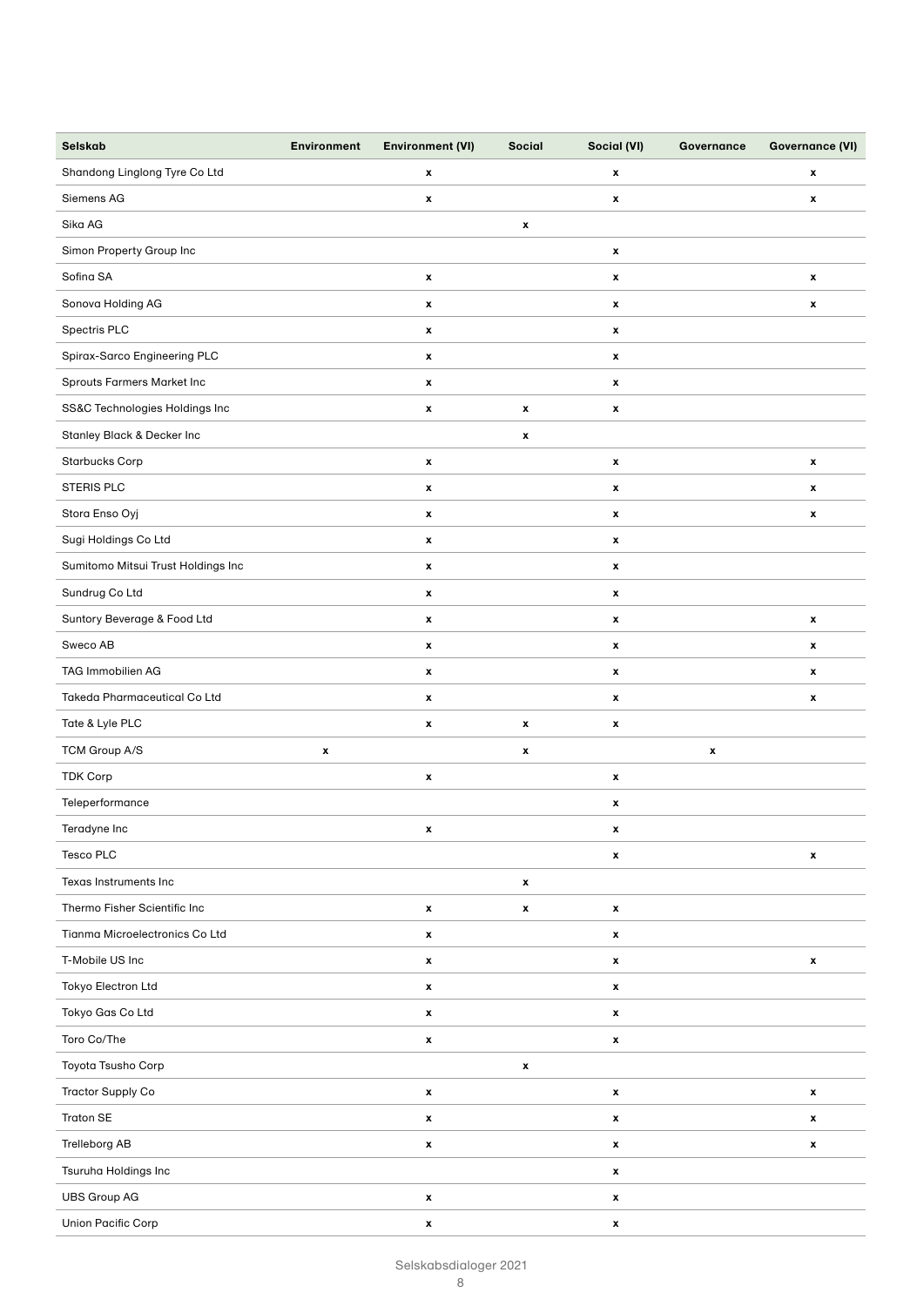| Selskab                            | <b>Environment</b> | <b>Environment (VI)</b> | <b>Social</b>      | Social (VI)        | Governance         | <b>Governance (VI)</b> |
|------------------------------------|--------------------|-------------------------|--------------------|--------------------|--------------------|------------------------|
| Shandong Linglong Tyre Co Ltd      |                    | x                       |                    | x                  |                    | x                      |
| Siemens AG                         |                    | $\pmb{\mathsf{x}}$      |                    | x                  |                    | $\pmb{\mathsf{x}}$     |
| Sika AG                            |                    |                         | x                  |                    |                    |                        |
| Simon Property Group Inc           |                    |                         |                    | x                  |                    |                        |
| Sofina SA                          |                    | $\pmb{\mathsf{x}}$      |                    | $\pmb{\mathsf{x}}$ |                    | $\pmb{\mathsf{x}}$     |
| Sonova Holding AG                  |                    | x                       |                    | x                  |                    | x                      |
| Spectris PLC                       |                    | x                       |                    | x                  |                    |                        |
| Spirax-Sarco Engineering PLC       |                    | x                       |                    | x                  |                    |                        |
| Sprouts Farmers Market Inc         |                    | $\pmb{\mathsf{x}}$      |                    | x                  |                    |                        |
| SS&C Technologies Holdings Inc     |                    | $\pmb{\mathsf{x}}$      | $\pmb{\mathsf{x}}$ | $\pmb{\mathsf{x}}$ |                    |                        |
| Stanley Black & Decker Inc         |                    |                         | $\pmb{\mathsf{x}}$ |                    |                    |                        |
| <b>Starbucks Corp</b>              |                    | $\pmb{\mathsf{x}}$      |                    | x                  |                    | $\pmb{\mathsf{x}}$     |
| STERIS PLC                         |                    | $\pmb{\mathsf{x}}$      |                    | x                  |                    | x                      |
| Stora Enso Oyj                     |                    | $\pmb{\mathsf{x}}$      |                    | x                  |                    | x                      |
| Sugi Holdings Co Ltd               |                    | $\pmb{\mathsf{x}}$      |                    | x                  |                    |                        |
| Sumitomo Mitsui Trust Holdings Inc |                    | $\pmb{\mathsf{x}}$      |                    | x                  |                    |                        |
| Sundrug Co Ltd                     |                    | x                       |                    | x                  |                    |                        |
| Suntory Beverage & Food Ltd        |                    | x                       |                    | x                  |                    | x                      |
| Sweco AB                           |                    | $\pmb{\mathsf{x}}$      |                    | $\pmb{\mathsf{x}}$ |                    | $\pmb{\mathsf{x}}$     |
| TAG Immobilien AG                  |                    | $\pmb{\mathsf{x}}$      |                    | x                  |                    | x                      |
| Takeda Pharmaceutical Co Ltd       |                    | $\pmb{\mathsf{x}}$      |                    | x                  |                    | x                      |
| Tate & Lyle PLC                    |                    | $\pmb{\mathsf{x}}$      | $\pmb{\mathsf{x}}$ | x                  |                    |                        |
| TCM Group A/S                      | $\pmb{\mathsf{x}}$ |                         | $\pmb{\mathsf{x}}$ |                    | $\pmb{\mathsf{x}}$ |                        |
| <b>TDK Corp</b>                    |                    | x                       |                    | x                  |                    |                        |
| Teleperformance                    |                    |                         |                    | x                  |                    |                        |
| Teradyne Inc                       |                    | x                       |                    | x                  |                    |                        |
| Tesco PLC                          |                    |                         |                    | x                  |                    | $\pmb{\mathsf{x}}$     |
| Texas Instruments Inc              |                    |                         | $\pmb{\mathsf{x}}$ |                    |                    |                        |
| Thermo Fisher Scientific Inc       |                    | x                       | $\pmb{\mathsf{x}}$ | x                  |                    |                        |
| Tianma Microelectronics Co Ltd     |                    | $\pmb{\mathsf{x}}$      |                    | x                  |                    |                        |
| T-Mobile US Inc                    |                    | x                       |                    | x                  |                    | x                      |
| Tokyo Electron Ltd                 |                    | $\pmb{\mathsf{x}}$      |                    | $\pmb{\mathsf{x}}$ |                    |                        |
| Tokyo Gas Co Ltd                   |                    | $\pmb{\mathsf{x}}$      |                    | x                  |                    |                        |
| Toro Co/The                        |                    | x                       |                    | $\pmb{\mathsf{x}}$ |                    |                        |
| Toyota Tsusho Corp                 |                    |                         | $\pmb{\mathsf{x}}$ |                    |                    |                        |
| <b>Tractor Supply Co</b>           |                    | x                       |                    | x                  |                    | $\pmb{\mathsf{x}}$     |
| <b>Traton SE</b>                   |                    | x                       |                    | $\pmb{\mathsf{x}}$ |                    | $\pmb{\mathsf{x}}$     |
| Trelleborg AB                      |                    | x                       |                    | x                  |                    | $\pmb{\mathsf{x}}$     |
| Tsuruha Holdings Inc               |                    |                         |                    | x                  |                    |                        |
| <b>UBS Group AG</b>                |                    | x                       |                    | $\pmb{\mathsf{x}}$ |                    |                        |
| Union Pacific Corp                 |                    | x                       |                    | $\pmb{\mathsf{x}}$ |                    |                        |